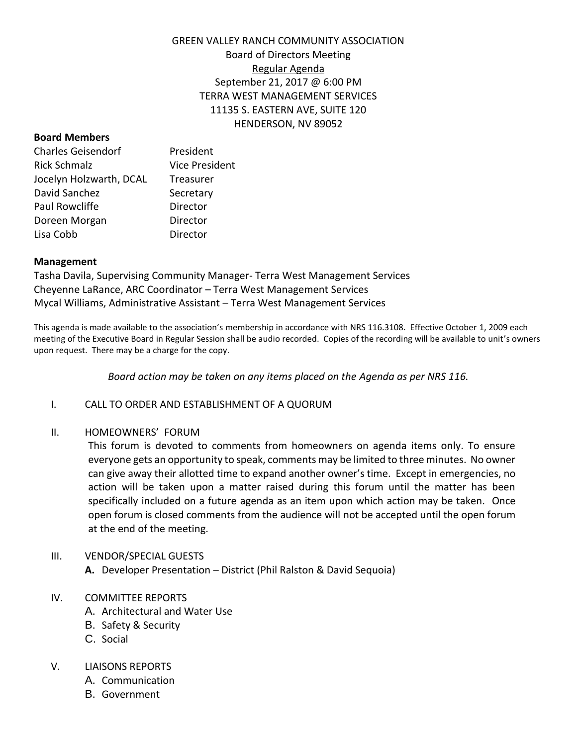# GREEN VALLEY RANCH COMMUNITY ASSOCIATION Board of Directors Meeting Regular Agenda September 21, 2017 @ 6:00 PM TERRA WEST MANAGEMENT SERVICES 11135 S. EASTERN AVE, SUITE 120

HENDERSON, NV 89052

## **Board Members**

| <b>Charles Geisendorf</b> | President             |
|---------------------------|-----------------------|
| <b>Rick Schmalz</b>       | <b>Vice President</b> |
| Jocelyn Holzwarth, DCAL   | Treasurer             |
| David Sanchez             | Secretary             |
| Paul Rowcliffe            | Director              |
| Doreen Morgan             | Director              |
| Lisa Cobb                 | Director              |

#### **Management**

Tasha Davila, Supervising Community Manager- Terra West Management Services Cheyenne LaRance, ARC Coordinator – Terra West Management Services Mycal Williams, Administrative Assistant – Terra West Management Services

This agenda is made available to the association's membership in accordance with NRS 116.3108. Effective October 1, 2009 each meeting of the Executive Board in Regular Session shall be audio recorded. Copies of the recording will be available to unit's owners upon request. There may be a charge for the copy.

*Board action may be taken on any items placed on the Agenda as per NRS 116.*

## I. CALL TO ORDER AND ESTABLISHMENT OF A QUORUM

## II. HOMEOWNERS' FORUM

This forum is devoted to comments from homeowners on agenda items only. To ensure everyone gets an opportunity to speak, comments may be limited to three minutes. No owner can give away their allotted time to expand another owner's time. Except in emergencies, no action will be taken upon a matter raised during this forum until the matter has been specifically included on a future agenda as an item upon which action may be taken. Once open forum is closed comments from the audience will not be accepted until the open forum at the end of the meeting.

## III. VENDOR/SPECIAL GUESTS

**A.** Developer Presentation – District (Phil Ralston & David Sequoia)

## IV. COMMITTEE REPORTS

- A. Architectural and Water Use
- B. Safety & Security
- C. Social

## V. LIAISONS REPORTS

- A. Communication
- B. Government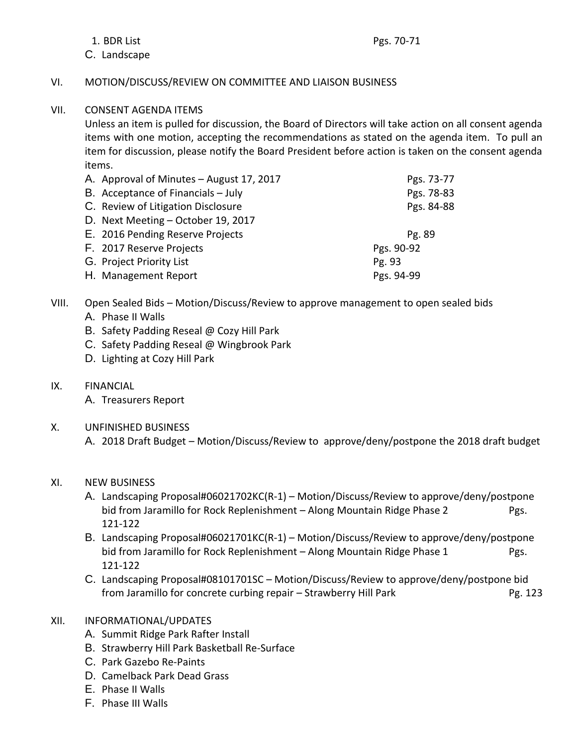C. Landscape

## VI. MOTION/DISCUSS/REVIEW ON COMMITTEE AND LIAISON BUSINESS

VII. CONSENT AGENDA ITEMS

Unless an item is pulled for discussion, the Board of Directors will take action on all consent agenda items with one motion, accepting the recommendations as stated on the agenda item. To pull an item for discussion, please notify the Board President before action is taken on the consent agenda items.

| A. Approval of Minutes - August 17, 2017 | Pgs. 73-77 |
|------------------------------------------|------------|
| B. Acceptance of Financials $-$ July     | Pgs. 78-83 |
| C. Review of Litigation Disclosure       | Pgs. 84-88 |
| D. Next Meeting - October 19, 2017       |            |
| E. 2016 Pending Reserve Projects         | Pg. 89     |
| F. 2017 Reserve Projects                 | Pgs. 90-92 |
| G. Project Priority List                 | Pg. 93     |
| H. Management Report                     | Pgs. 94-99 |

## VIII. Open Sealed Bids – Motion/Discuss/Review to approve management to open sealed bids

- A. Phase II Walls
- B. Safety Padding Reseal @ Cozy Hill Park
- C. Safety Padding Reseal @ Wingbrook Park
- D. Lighting at Cozy Hill Park
- IX. FINANCIAL

A. Treasurers Report

## X. UNFINISHED BUSINESS

A. 2018 Draft Budget – Motion/Discuss/Review to approve/deny/postpone the 2018 draft budget

## XI. NEW BUSINESS

- A. Landscaping Proposal#06021702KC(R-1) Motion/Discuss/Review to approve/deny/postpone bid from Jaramillo for Rock Replenishment – Along Mountain Ridge Phase 2 Pgs. 121-122
- B. Landscaping Proposal#06021701KC(R-1) Motion/Discuss/Review to approve/deny/postpone bid from Jaramillo for Rock Replenishment – Along Mountain Ridge Phase 1 Pgs. 121-122
- C. Landscaping Proposal#08101701SC Motion/Discuss/Review to approve/deny/postpone bid from Jaramillo for concrete curbing repair – Strawberry Hill Park Pg. 123

## XII. INFORMATIONAL/UPDATES

- A. Summit Ridge Park Rafter Install
- B. Strawberry Hill Park Basketball Re-Surface
- C. Park Gazebo Re-Paints
- D. Camelback Park Dead Grass
- E. Phase II Walls
- F. Phase III Walls